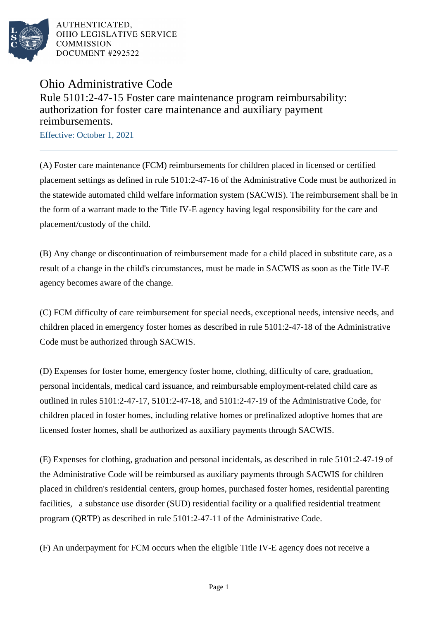

AUTHENTICATED. OHIO LEGISLATIVE SERVICE **COMMISSION** DOCUMENT #292522

## Ohio Administrative Code Rule 5101:2-47-15 Foster care maintenance program reimbursability: authorization for foster care maintenance and auxiliary payment reimbursements.

Effective: October 1, 2021

(A) Foster care maintenance (FCM) reimbursements for children placed in licensed or certified placement settings as defined in rule 5101:2-47-16 of the Administrative Code must be authorized in the statewide automated child welfare information system (SACWIS). The reimbursement shall be in the form of a warrant made to the Title IV-E agency having legal responsibility for the care and placement/custody of the child.

(B) Any change or discontinuation of reimbursement made for a child placed in substitute care, as a result of a change in the child's circumstances, must be made in SACWIS as soon as the Title IV-E agency becomes aware of the change.

(C) FCM difficulty of care reimbursement for special needs, exceptional needs, intensive needs, and children placed in emergency foster homes as described in rule 5101:2-47-18 of the Administrative Code must be authorized through SACWIS.

(D) Expenses for foster home, emergency foster home, clothing, difficulty of care, graduation, personal incidentals, medical card issuance, and reimbursable employment-related child care as outlined in rules 5101:2-47-17, 5101:2-47-18, and 5101:2-47-19 of the Administrative Code, for children placed in foster homes, including relative homes or prefinalized adoptive homes that are licensed foster homes, shall be authorized as auxiliary payments through SACWIS.

(E) Expenses for clothing, graduation and personal incidentals, as described in rule 5101:2-47-19 of the Administrative Code will be reimbursed as auxiliary payments through SACWIS for children placed in children's residential centers, group homes, purchased foster homes, residential parenting facilities, a substance use disorder (SUD) residential facility or a qualified residential treatment program (QRTP) as described in rule 5101:2-47-11 of the Administrative Code.

(F) An underpayment for FCM occurs when the eligible Title IV-E agency does not receive a